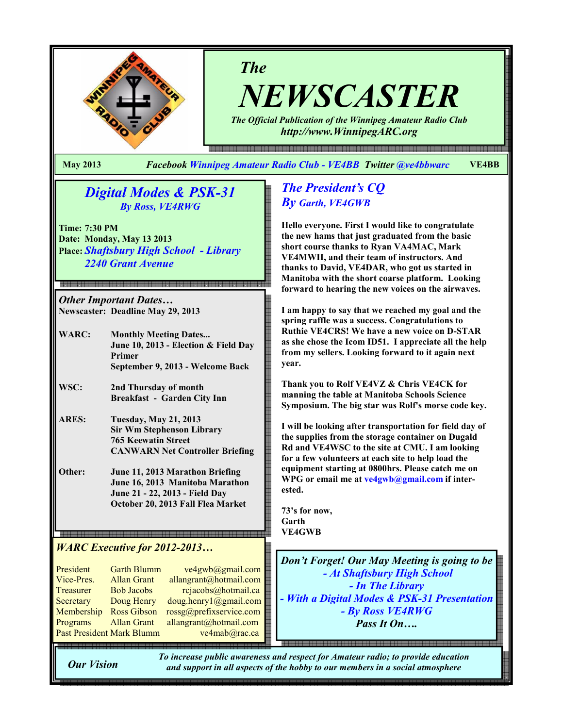

NEWSCASTER

The Official Publication of the Winnipeg Amateur Radio Club http://www.WinnipegARC.org

e 1990 이 1990 이 1990 이 1990 이 1990 이 1990 이 1990 이 1990 이 1990 이 1990 이 1990 이 1990 이 1990 이 1990 이 1990 이 1990 이 1990 이 1990 이 1990 이 1990 이 1990 이 1990 이 1990 이 1990 이 1990 이 1990 이 1990 이 1990 이 1990 이 1990 이 1990 이 19

May 2013 Facebook Winnipeg Amateur Radio Club - VE4BB Twitter @ve4bbwarc VE4BB

The

# Digital Modes & PSK-31 By Ross, VE4RWG

Time: 7:30 PM Date: Monday, May 13 2013 Place: Shaftsbury High School - Library 2240 Grant Avenue

Other Important Dates… Newscaster: Deadline May 29, 2013

.<br>이 1983년 1983년 1983년 1983년 1983년 1983년 1983년 1983년 1983년 1983년 1983년 1983년 1983년 1983년 1983년 1983년 1983년 1983년<br>1983년 1983년 1983년 1983년 1983년 1983년 1983년 1983년 1983년 1983년 1983년 1983년 1983년 1983년 1983년 1983년 1983년 1983년 1

| WARC: | <b>Monthly Meeting Dates</b>            |
|-------|-----------------------------------------|
|       | June 10, 2013 - Election $\&$ Field Day |
|       | Primer                                  |
|       | September 9, 2013 - Welcome Back        |

WSC: 2nd Thursday of month Breakfast - Garden City Inn

- ARES: Tuesday, May 21, 2013 Sir Wm Stephenson Library 765 Keewatin Street CANWARN Net Controller Briefing
- Other: June 11, 2013 Marathon Briefing June 16, 2013 Manitoba Marathon June 21 - 22, 2013 - Field Day October 20, 2013 Fall Flea Market

# WARC Executive for 2012-2013…

| President                 | <b>Garth Blumm</b> | ve4gwb@gmail.com        |
|---------------------------|--------------------|-------------------------|
| Vice-Pres.                | <b>Allan Grant</b> | allangrant@hotmail.com  |
| Treasurer                 | <b>Bob Jacobs</b>  | rcjacobs@hotmail.ca     |
| Secretary                 | Doug Henry         | doug.henry1@gmail.com   |
| Membership                | <b>Ross Gibson</b> | rossg@prefixservice.com |
| Programs                  | <b>Allan Grant</b> | allangrant@hotmail.com  |
| Past President Mark Blumm |                    | ve4mab@rac.ca           |

# The President's CQ By Garth, VE4GWB

Hello everyone. First I would like to congratulate the new hams that just graduated from the basic short course thanks to Ryan VA4MAC, Mark VE4MWH, and their team of instructors. And thanks to David, VE4DAR, who got us started in Manitoba with the short coarse platform. Looking forward to hearing the new voices on the airwaves.

I am happy to say that we reached my goal and the spring raffle was a success. Congratulations to Ruthie VE4CRS! We have a new voice on D-STAR as she chose the Icom ID51. I appreciate all the help from my sellers. Looking forward to it again next year.

Thank you to Rolf VE4VZ & Chris VE4CK for manning the table at Manitoba Schools Science Symposium. The big star was Rolf's morse code key.

I will be looking after transportation for field day of the supplies from the storage container on Dugald Rd and VE4WSC to the site at CMU. I am looking for a few volunteers at each site to help load the equipment starting at 0800hrs. Please catch me on WPG or email me at ve4gwb@gmail.com if interested.

73's for now, Garth VE4GWB

Don't Forget! Our May Meeting is going to be - At Shaftsbury High School - In The Library - With a Digital Modes & PSK-31 Presentation - By Ross VE4RWG Pass It On<sub>…</sub>

Our Vision

To increase public awareness and respect for Amateur radio; to provide education and support in all aspects of the hobby to our members in a social atmosphere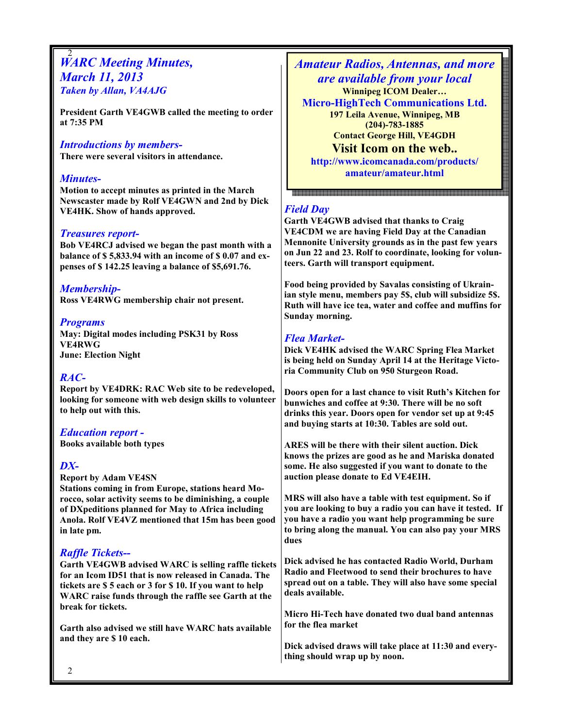#### 2 **WARC Meeting Minutes,** March 11, 2013 Taken by Allan, VA4AJG

President Garth VE4GWB called the meeting to order at 7:35 PM

#### Introductions by members-

There were several visitors in attendance.

#### Minutes-

Motion to accept minutes as printed in the March Newscaster made by Rolf VE4GWN and 2nd by Dick VE4HK. Show of hands approved.

#### Treasures report-

Bob VE4RCJ advised we began the past month with a balance of \$ 5,833.94 with an income of \$ 0.07 and expenses of \$ 142.25 leaving a balance of \$5,691.76.

Membership-Ross VE4RWG membership chair not present.

#### Programs

May: Digital modes including PSK31 by Ross VE4RWG June: Election Night

### RAC-

Report by VE4DRK: RAC Web site to be redeveloped, looking for someone with web design skills to volunteer to help out with this.

Education report - Books available both types

# DX-

Report by Adam VE4SN Stations coming in from Europe, stations heard Morocco, solar activity seems to be diminishing, a couple of DXpeditions planned for May to Africa including Anola. Rolf VE4VZ mentioned that 15m has been good in late pm.

# Raffle Tickets--

Garth VE4GWB advised WARC is selling raffle tickets for an Icom ID51 that is now released in Canada. The tickets are \$ 5 each or 3 for \$ 10. If you want to help WARC raise funds through the raffle see Garth at the break for tickets.

Garth also advised we still have WARC hats available and they are \$ 10 each.

Amateur Radios, Antennas, and more are available from your local Winnipeg ICOM Dealer… Micro-HighTech Communications Ltd. 197 Leila Avenue, Winnipeg, MB (204)-783-1885 Contact George Hill, VE4GDH Visit Icom on the web.. http://www.icomcanada.com/products/

amateur/amateur.html

### Field Day

Garth VE4GWB advised that thanks to Craig VE4CDM we are having Field Day at the Canadian Mennonite University grounds as in the past few years on Jun 22 and 23. Rolf to coordinate, looking for volunteers. Garth will transport equipment.

Food being provided by Savalas consisting of Ukrainian style menu, members pay 5\$, club will subsidize 5\$. Ruth will have ice tea, water and coffee and muffins for Sunday morning.

### Flea Market-

Dick VE4HK advised the WARC Spring Flea Market is being held on Sunday April 14 at the Heritage Victoria Community Club on 950 Sturgeon Road.

Doors open for a last chance to visit Ruth's Kitchen for bunwiches and coffee at 9:30. There will be no soft drinks this year. Doors open for vendor set up at 9:45 and buying starts at 10:30. Tables are sold out.

ARES will be there with their silent auction. Dick knows the prizes are good as he and Mariska donated some. He also suggested if you want to donate to the auction please donate to Ed VE4EIH.

MRS will also have a table with test equipment. So if you are looking to buy a radio you can have it tested. If you have a radio you want help programming be sure to bring along the manual. You can also pay your MRS dues

Dick advised he has contacted Radio World, Durham Radio and Fleetwood to send their brochures to have spread out on a table. They will also have some special deals available.

Micro Hi-Tech have donated two dual band antennas for the flea market

Dick advised draws will take place at 11:30 and everything should wrap up by noon.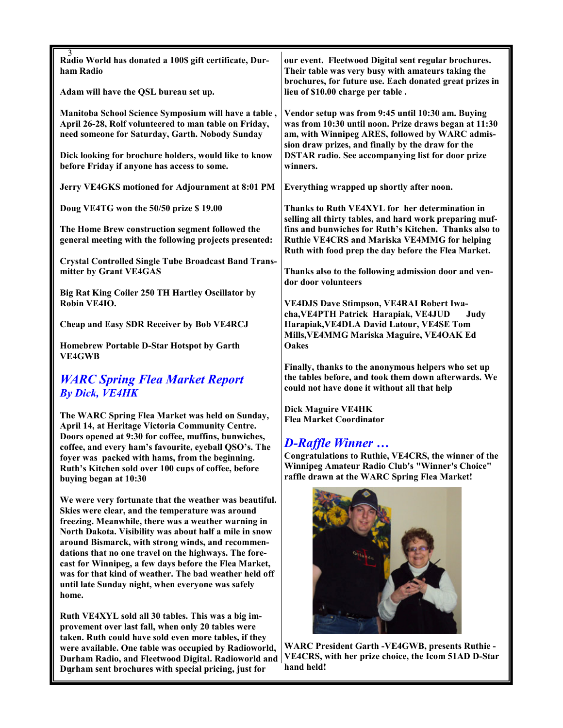| 3<br>Radio World has donated a 100\$ gift certificate, Dur-<br>ham Radio                                                                                                                                                                                                                                                                                                                                                                                     | our event. Fleetwood Digital sent regular brochures.<br>Their table was very busy with amateurs taking the<br>brochures, for future use. Each donated great prizes in                                                                                                                      |
|--------------------------------------------------------------------------------------------------------------------------------------------------------------------------------------------------------------------------------------------------------------------------------------------------------------------------------------------------------------------------------------------------------------------------------------------------------------|--------------------------------------------------------------------------------------------------------------------------------------------------------------------------------------------------------------------------------------------------------------------------------------------|
| Adam will have the QSL bureau set up.                                                                                                                                                                                                                                                                                                                                                                                                                        | lieu of \$10.00 charge per table.                                                                                                                                                                                                                                                          |
| Manitoba School Science Symposium will have a table,<br>April 26-28, Rolf volunteered to man table on Friday,<br>need someone for Saturday, Garth. Nobody Sunday                                                                                                                                                                                                                                                                                             | Vendor setup was from 9:45 until 10:30 am. Buying<br>was from 10:30 until noon. Prize draws began at 11:30<br>am, with Winnipeg ARES, followed by WARC admis-<br>sion draw prizes, and finally by the draw for the<br><b>DSTAR radio. See accompanying list for door prize</b><br>winners. |
| Dick looking for brochure holders, would like to know<br>before Friday if anyone has access to some.                                                                                                                                                                                                                                                                                                                                                         |                                                                                                                                                                                                                                                                                            |
| Jerry VE4GKS motioned for Adjournment at 8:01 PM                                                                                                                                                                                                                                                                                                                                                                                                             | Everything wrapped up shortly after noon.                                                                                                                                                                                                                                                  |
| Doug VE4TG won the 50/50 prize \$19.00                                                                                                                                                                                                                                                                                                                                                                                                                       | Thanks to Ruth VE4XYL for her determination in                                                                                                                                                                                                                                             |
| The Home Brew construction segment followed the<br>general meeting with the following projects presented:                                                                                                                                                                                                                                                                                                                                                    | selling all thirty tables, and hard work preparing muf-<br>fins and bunwiches for Ruth's Kitchen. Thanks also to<br><b>Ruthie VE4CRS and Mariska VE4MMG for helping</b><br>Ruth with food prep the day before the Flea Market.                                                             |
| <b>Crystal Controlled Single Tube Broadcast Band Trans-</b><br>mitter by Grant VE4GAS                                                                                                                                                                                                                                                                                                                                                                        | Thanks also to the following admission door and ven-<br>dor door volunteers                                                                                                                                                                                                                |
| Big Rat King Coiler 250 TH Hartley Oscillator by<br>Robin VE4IO.                                                                                                                                                                                                                                                                                                                                                                                             | <b>VE4DJS Dave Stimpson, VE4RAI Robert Iwa-</b><br>cha, VE4PTH Patrick Harapiak, VE4JUD<br>Judy<br>Harapiak, VE4DLA David Latour, VE4SE Tom<br>Mills, VE4MMG Mariska Maguire, VE4OAK Ed<br><b>Oakes</b>                                                                                    |
| <b>Cheap and Easy SDR Receiver by Bob VE4RCJ</b>                                                                                                                                                                                                                                                                                                                                                                                                             |                                                                                                                                                                                                                                                                                            |
| <b>Homebrew Portable D-Star Hotspot by Garth</b><br><b>VE4GWB</b>                                                                                                                                                                                                                                                                                                                                                                                            |                                                                                                                                                                                                                                                                                            |
| <b>WARC Spring Flea Market Report</b><br><b>By Dick, VE4HK</b>                                                                                                                                                                                                                                                                                                                                                                                               | Finally, thanks to the anonymous helpers who set up<br>the tables before, and took them down afterwards. We<br>could not have done it without all that help                                                                                                                                |
| The WARC Spring Flea Market was held on Sunday,<br>April 14, at Heritage Victoria Community Centre.                                                                                                                                                                                                                                                                                                                                                          | <b>Dick Maguire VE4HK</b><br><b>Flea Market Coordinator</b>                                                                                                                                                                                                                                |
| Doors opened at 9:30 for coffee, muffins, bunwiches,<br>coffee, and every ham's favourite, eyeball QSO's. The<br>foyer was packed with hams, from the beginning.<br>Ruth's Kitchen sold over 100 cups of coffee, before<br>buying began at 10:30                                                                                                                                                                                                             | <b>D-Raffle Winner </b><br>Congratulations to Ruthie, VE4CRS, the winner of the<br>Winnipeg Amateur Radio Club's "Winner's Choice"<br>raffle drawn at the WARC Spring Flea Market!                                                                                                         |
| We were very fortunate that the weather was beautiful.<br>Skies were clear, and the temperature was around<br>freezing. Meanwhile, there was a weather warning in<br>North Dakota. Visibility was about half a mile in snow<br>around Bismarck, with strong winds, and recommen-<br>dations that no one travel on the highways. The fore-<br>cast for Winnipeg, a few days before the Flea Market,<br>was for that kind of weather. The bad weather held off |                                                                                                                                                                                                                                                                                            |

3 Durham sent brochures with special pricing, just for Ruth VE4XYL sold all 30 tables. This was a big improvement over last fall, when only 20 tables were taken. Ruth could have sold even more tables, if they were available. One table was occupied by Radioworld, Durham Radio, and Fleetwood Digital. Radioworld and VE4CRS, with her prize choice, the Icom 51AD D-Star

until late Sunday night, when everyone was safely

home.

WARC President Garth -VE4GWB, presents Ruthie hand held!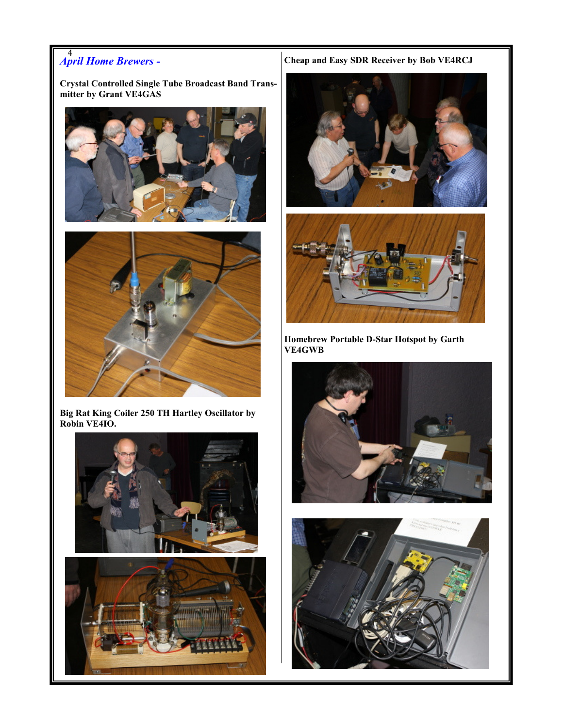# 4 April Home Brewers -

Crystal Controlled Single Tube Broadcast Band Transmitter by Grant VE4GAS





Big Rat King Coiler 250 TH Hartley Oscillator by Robin VE4IO.





Cheap and Easy SDR Receiver by Bob VE4RCJ





Homebrew Portable D-Star Hotspot by Garth VE4GWB



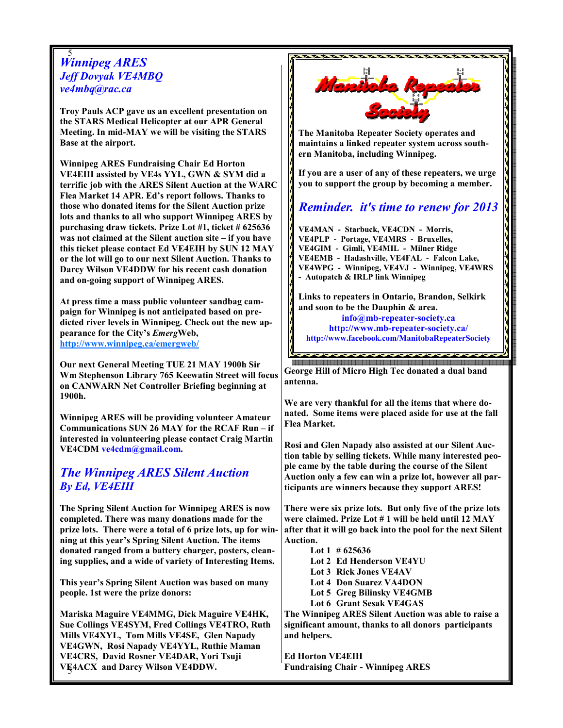#### 5 Winnipeg ARES Jeff Dovyak VE4MBQ ve4mbq@rac.ca

Troy Pauls ACP gave us an excellent presentation on the STARS Medical Helicopter at our APR General Meeting. In mid-MAY we will be visiting the STARS Base at the airport.

Winnipeg ARES Fundraising Chair Ed Horton VE4EIH assisted by VE4s YYL, GWN & SYM did a terrific job with the ARES Silent Auction at the WARC Flea Market 14 APR. Ed's report follows. Thanks to those who donated items for the Silent Auction prize lots and thanks to all who support Winnipeg ARES by purchasing draw tickets. Prize Lot #1, ticket # 625636 was not claimed at the Silent auction site – if you have this ticket please contact Ed VE4EIH by SUN 12 MAY or the lot will go to our next Silent Auction. Thanks to Darcy Wilson VE4DDW for his recent cash donation and on-going support of Winnipeg ARES.

At press time a mass public volunteer sandbag campaign for Winnipeg is not anticipated based on predicted river levels in Winnipeg. Check out the new appearance for the City's EmergWeb, http://www.winnipeg.ca/emergweb/

Our next General Meeting TUE 21 MAY 1900h Sir Wm Stephenson Library 765 Keewatin Street will focus on CANWARN Net Controller Briefing beginning at 1900h.

Winnipeg ARES will be providing volunteer Amateur Communications SUN 26 MAY for the RCAF Run – if interested in volunteering please contact Craig Martin VE4CDM ve4cdm@gmail.com.

# The Winnipeg ARES Silent Auction By Ed, VE4EIH

The Spring Silent Auction for Winnipeg ARES is now completed. There was many donations made for the prize lots. There were a total of 6 prize lots, up for winning at this year's Spring Silent Auction. The items donated ranged from a battery charger, posters, cleaning supplies, and a wide of variety of Interesting Items.

This year's Spring Silent Auction was based on many people. 1st were the prize donors:

5 VE4ACX and Darcy Wilson VE4DDW. Mariska Maguire VE4MMG, Dick Maguire VE4HK, Sue Collings VE4SYM, Fred Collings VE4TRO, Ruth Mills VE4XYL, Tom Mills VE4SE, Glen Napady VE4GWN, Rosi Napady VE4YYL, Ruthie Maman VE4CRS, David Rosner VE4DAR, Yori Tsuji



George Hill of Micro High Tec donated a dual band antenna.

We are very thankful for all the items that where donated. Some items were placed aside for use at the fall Flea Market.

Rosi and Glen Napady also assisted at our Silent Auction table by selling tickets. While many interested people came by the table during the course of the Silent Auction only a few can win a prize lot, however all participants are winners because they support ARES!

There were six prize lots. But only five of the prize lots were claimed. Prize Lot # 1 will be held until 12 MAY after that it will go back into the pool for the next Silent Auction.

 Lot 1 # 625636 Lot 2 Ed Henderson VE4YU Lot 3 Rick Jones VE4AV Lot 4 Don Suarez VA4DON Lot 5 Greg Bilinsky VE4GMB Lot 6 Grant Sesak VE4GAS The Winnipeg ARES Silent Auction was able to raise a

significant amount, thanks to all donors participants and helpers.

Ed Horton VE4EIH Fundraising Chair - Winnipeg ARES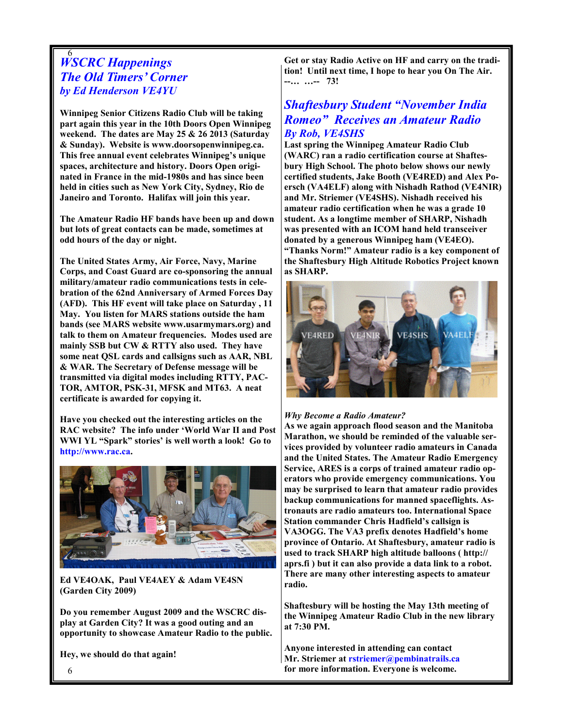### 6 WSCRC Happenings The Old Timers' Corner by Ed Henderson VE4YU

Winnipeg Senior Citizens Radio Club will be taking part again this year in the 10th Doors Open Winnipeg weekend. The dates are May 25 & 26 2013 (Saturday & Sunday). Website is www.doorsopenwinnipeg.ca. This free annual event celebrates Winnipeg's unique spaces, architecture and history. Doors Open originated in France in the mid-1980s and has since been held in cities such as New York City, Sydney, Rio de Janeiro and Toronto. Halifax will join this year.

The Amateur Radio HF bands have been up and down but lots of great contacts can be made, sometimes at odd hours of the day or night.

The United States Army, Air Force, Navy, Marine Corps, and Coast Guard are co-sponsoring the annual military/amateur radio communications tests in celebration of the 62nd Anniversary of Armed Forces Day (AFD). This HF event will take place on Saturday , 11 May. You listen for MARS stations outside the ham bands (see MARS website www.usarmymars.org) and talk to them on Amateur frequencies. Modes used are mainly SSB but CW & RTTY also used. They have some neat QSL cards and callsigns such as AAR, NBL & WAR. The Secretary of Defense message will be transmitted via digital modes including RTTY, PAC-TOR, AMTOR, PSK-31, MFSK and MT63. A neat certificate is awarded for copying it.

Have you checked out the interesting articles on the RAC website? The info under 'World War II and Post WWI YL "Spark" stories' is well worth a look! Go to http://www.rac.ca.



Ed VE4OAK, Paul VE4AEY & Adam VE4SN (Garden City 2009)

Do you remember August 2009 and the WSCRC display at Garden City? It was a good outing and an opportunity to showcase Amateur Radio to the public.

Hey, we should do that again!

Get or stay Radio Active on HF and carry on the tradition! Until next time, I hope to hear you On The Air. --… …-- 73!

# Shaftesbury Student "November India Romeo" Receives an Amateur Radio By Rob, VE4SHS

Last spring the Winnipeg Amateur Radio Club (WARC) ran a radio certification course at Shaftesbury High School. The photo below shows our newly certified students, Jake Booth (VE4RED) and Alex Poersch (VA4ELF) along with Nishadh Rathod (VE4NIR) and Mr. Striemer (VE4SHS). Nishadh received his amateur radio certification when he was a grade 10 student. As a longtime member of SHARP, Nishadh was presented with an ICOM hand held transceiver donated by a generous Winnipeg ham (VE4EO). "Thanks Norm!" Amateur radio is a key component of the Shaftesbury High Altitude Robotics Project known as SHARP.



#### Why Become a Radio Amateur?

As we again approach flood season and the Manitoba Marathon, we should be reminded of the valuable services provided by volunteer radio amateurs in Canada and the United States. The Amateur Radio Emergency Service, ARES is a corps of trained amateur radio operators who provide emergency communications. You may be surprised to learn that amateur radio provides backup communications for manned spaceflights. Astronauts are radio amateurs too. International Space Station commander Chris Hadfield's callsign is VA3OGG. The VA3 prefix denotes Hadfield's home province of Ontario. At Shaftesbury, amateur radio is used to track SHARP high altitude balloons ( http:// aprs.fi ) but it can also provide a data link to a robot. There are many other interesting aspects to amateur radio.

Shaftesbury will be hosting the May 13th meeting of the Winnipeg Amateur Radio Club in the new library at 7:30 PM.

Anyone interested in attending can contact Mr. Striemer at rstriemer@pembinatrails.ca for more information. Everyone is welcome.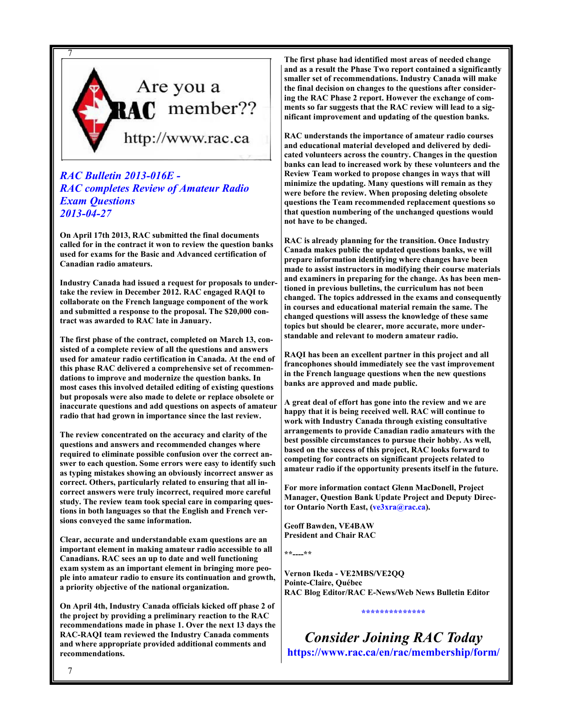

### RAC Bulletin 2013-016E - RAC completes Review of Amateur Radio Exam Questions 2013-04-27

On April 17th 2013, RAC submitted the final documents called for in the contract it won to review the question banks used for exams for the Basic and Advanced certification of Canadian radio amateurs.

Industry Canada had issued a request for proposals to undertake the review in December 2012. RAC engaged RAQI to collaborate on the French language component of the work and submitted a response to the proposal. The \$20,000 contract was awarded to RAC late in January.

The first phase of the contract, completed on March 13, consisted of a complete review of all the questions and answers used for amateur radio certification in Canada. At the end of this phase RAC delivered a comprehensive set of recommendations to improve and modernize the question banks. In most cases this involved detailed editing of existing questions but proposals were also made to delete or replace obsolete or inaccurate questions and add questions on aspects of amateur radio that had grown in importance since the last review.

The review concentrated on the accuracy and clarity of the questions and answers and recommended changes where required to eliminate possible confusion over the correct answer to each question. Some errors were easy to identify such as typing mistakes showing an obviously incorrect answer as correct. Others, particularly related to ensuring that all incorrect answers were truly incorrect, required more careful study. The review team took special care in comparing questions in both languages so that the English and French versions conveyed the same information.

Clear, accurate and understandable exam questions are an important element in making amateur radio accessible to all Canadians. RAC sees an up to date and well functioning exam system as an important element in bringing more people into amateur radio to ensure its continuation and growth, a priority objective of the national organization.

On April 4th, Industry Canada officials kicked off phase 2 of the project by providing a preliminary reaction to the RAC recommendations made in phase 1. Over the next 13 days the RAC-RAQI team reviewed the Industry Canada comments and where appropriate provided additional comments and recommendations.

The first phase had identified most areas of needed change and as a result the Phase Two report contained a significantly smaller set of recommendations. Industry Canada will make the final decision on changes to the questions after considering the RAC Phase 2 report. However the exchange of comments so far suggests that the RAC review will lead to a significant improvement and updating of the question banks.

RAC understands the importance of amateur radio courses and educational material developed and delivered by dedicated volunteers across the country. Changes in the question banks can lead to increased work by these volunteers and the Review Team worked to propose changes in ways that will minimize the updating. Many questions will remain as they were before the review. When proposing deleting obsolete questions the Team recommended replacement questions so that question numbering of the unchanged questions would not have to be changed.

RAC is already planning for the transition. Once Industry Canada makes public the updated questions banks, we will prepare information identifying where changes have been made to assist instructors in modifying their course materials and examiners in preparing for the change. As has been mentioned in previous bulletins, the curriculum has not been changed. The topics addressed in the exams and consequently in courses and educational material remain the same. The changed questions will assess the knowledge of these same topics but should be clearer, more accurate, more understandable and relevant to modern amateur radio.

RAQI has been an excellent partner in this project and all francophones should immediately see the vast improvement in the French language questions when the new questions banks are approved and made public.

A great deal of effort has gone into the review and we are happy that it is being received well. RAC will continue to work with Industry Canada through existing consultative arrangements to provide Canadian radio amateurs with the best possible circumstances to pursue their hobby. As well, based on the success of this project, RAC looks forward to competing for contracts on significant projects related to amateur radio if the opportunity presents itself in the future.

For more information contact Glenn MacDonell, Project Manager, Question Bank Update Project and Deputy Director Ontario North East, (ve3xra@rac.ca).

Geoff Bawden, VE4BAW President and Chair RAC

\*\*----\*\*

Vernon Ikeda - VE2MBS/VE2QQ Pointe-Claire, Québec RAC Blog Editor/RAC E-News/Web News Bulletin Editor

Consider Joining RAC Today https://www.rac.ca/en/rac/membership/form/

\*\*\*\*\*\*\*\*\*\*\*\*\*\*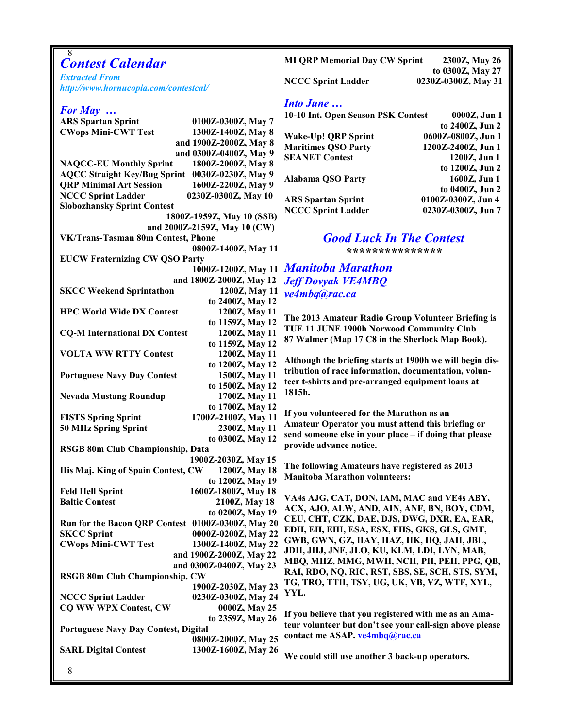| 8<br><b>Contest Calendar</b>                                            | <b>MI QRP Memorial Day CW Sprint</b><br>2300Z, May 26<br>to 0300Z, May 27 |
|-------------------------------------------------------------------------|---------------------------------------------------------------------------|
| <b>Extracted From</b><br>http://www.hornucopia.com/contestcal/          | <b>NCCC Sprint Ladder</b><br>0230Z-0300Z, May 31                          |
|                                                                         |                                                                           |
| For May $\ldots$                                                        | <b>Into June </b>                                                         |
| <b>ARS Spartan Sprint</b><br>0100Z-0300Z, May 7                         | 10-10 Int. Open Season PSK Contest<br>0000Z, Jun 1                        |
| <b>CWops Mini-CWT Test</b><br>1300Z-1400Z, May 8                        | to 2400Z, Jun 2                                                           |
| and 1900Z-2000Z, May 8                                                  | Wake-Up! QRP Sprint<br>0600Z-0800Z, Jun 1                                 |
| and 0300Z-0400Z, May 9                                                  | <b>Maritimes QSO Party</b><br>1200Z-2400Z, Jun 1                          |
| <b>NAQCC-EU Monthly Sprint</b><br>1800Z-2000Z, May 8                    | <b>SEANET Contest</b><br>1200Z, Jun 1                                     |
| AQCC Straight Key/Bug Sprint 0030Z-0230Z, May 9                         | to 1200Z, Jun 2                                                           |
| <b>QRP Minimal Art Session</b><br>1600Z-2200Z, May 9                    | <b>Alabama QSO Party</b><br>1600Z, Jun 1                                  |
| <b>NCCC Sprint Ladder</b><br>0230Z-0300Z, May 10                        | to 0400Z, Jun 2                                                           |
| <b>Slobozhansky Sprint Contest</b>                                      | <b>ARS Spartan Sprint</b><br>0100Z-0300Z, Jun 4                           |
| 1800Z-1959Z, May 10 (SSB)                                               | <b>NCCC Sprint Ladder</b><br>0230Z-0300Z, Jun 7                           |
| and 2000Z-2159Z, May 10 (CW)                                            |                                                                           |
| VK/Trans-Tasman 80m Contest, Phone                                      | <b>Good Luck In The Contest</b>                                           |
| 0800Z-1400Z, May 11                                                     | ********************                                                      |
| <b>EUCW Fraternizing CW QSO Party</b>                                   |                                                                           |
| 1000Z-1200Z, May 11                                                     | <b>Manitoba Marathon</b>                                                  |
| and 1800Z-2000Z, May 12                                                 | <b>Jeff Dovyak VE4MBQ</b>                                                 |
| 1200Z, May 11<br><b>SKCC Weekend Sprintathon</b>                        | ve4mbq@rac.ca                                                             |
| to 2400Z, May 12                                                        |                                                                           |
| <b>HPC World Wide DX Contest</b><br>1200Z, May 11                       |                                                                           |
| to 1159Z, May 12                                                        | The 2013 Amateur Radio Group Volunteer Briefing is                        |
| <b>CQ-M International DX Contest</b><br>1200Z, May 11                   | TUE 11 JUNE 1900h Norwood Community Club                                  |
| to 1159Z, May 12                                                        | 87 Walmer (Map 17 C8 in the Sherlock Map Book).                           |
| <b>VOLTA WW RTTY Contest</b><br>1200Z, May 11                           | Although the briefing starts at 1900h we will begin dis-                  |
| to 1200Z, May 12                                                        | tribution of race information, documentation, volun-                      |
| <b>Portuguese Navy Day Contest</b><br>1500Z, May 11                     | teer t-shirts and pre-arranged equipment loans at                         |
| to 1500Z, May 12                                                        | 1815h.                                                                    |
| 1700Z, May 11<br><b>Nevada Mustang Roundup</b>                          |                                                                           |
| to 1700Z, May 12                                                        | If you volunteered for the Marathon as an                                 |
| 1700Z-2100Z, May 11<br><b>FISTS Spring Sprint</b>                       | Amateur Operator you must attend this briefing or                         |
| 2300Z, May 11<br><b>50 MHz Spring Sprint</b>                            | send someone else in your place - if doing that please                    |
| to 0300Z, May 12                                                        | provide advance notice.                                                   |
| RSGB 80m Club Championship, Data                                        |                                                                           |
| 1900Z-2030Z, May 15                                                     | The following Amateurs have registered as 2013                            |
| His Maj. King of Spain Contest, CW<br>1200Z, May 18<br>to 1200Z, May 19 | <b>Manitoba Marathon volunteers:</b>                                      |
| <b>Feld Hell Sprint</b><br>1600Z-1800Z, May 18                          |                                                                           |
| <b>Baltic Contest</b><br>2100Z, May 18                                  | VA4s AJG, CAT, DON, IAM, MAC and VE4s ABY,                                |
| to 0200Z, May 19                                                        | ACX, AJO, ALW, AND, AIN, ANF, BN, BOY, CDM,                               |
| Run for the Bacon QRP Contest 0100Z-0300Z, May 20                       | CEU, CHT, CZK, DAE, DJS, DWG, DXR, EA, EAR,                               |
| <b>SKCC Sprint</b><br>0000Z-0200Z, May 22                               | EDH, EH, EIH, ESA, ESX, FHS, GKS, GLS, GMT,                               |
| <b>CWops Mini-CWT Test</b><br>1300Z-1400Z, May 22                       | GWB, GWN, GZ, HAY, HAZ, HK, HQ, JAH, JBL,                                 |
| and 1900Z-2000Z, May 22                                                 | JDH, JHJ, JNF, JLO, KU, KLM, LDI, LYN, MAB,                               |
| and 0300Z-0400Z, May 23                                                 | MBQ, MHZ, MMG, MWH, NCH, PH, PEH, PPG, QB,                                |
| <b>RSGB 80m Club Championship, CW</b>                                   | RAI, RDO, NQ, RIC, RST, SBS, SE, SCH, STS, SYM,                           |
| 1900Z-2030Z, May 23                                                     | TG, TRO, TTH, TSY, UG, UK, VB, VZ, WTF, XYL,                              |
| <b>NCCC Sprint Ladder</b><br>0230Z-0300Z, May 24                        | YYL.                                                                      |
| <b>CQ WW WPX Contest, CW</b><br>0000Z, May 25                           |                                                                           |
| to 2359Z, May 26                                                        | If you believe that you registered with me as an Ama-                     |
| <b>Portuguese Navy Day Contest, Digital</b>                             | teur volunteer but don't see your call-sign above please                  |
| 0800Z-2000Z, May 25                                                     | contact me ASAP. ve4mbq@rac.ca                                            |
| 1300Z-1600Z, May 26<br><b>SARL Digital Contest</b>                      | We could still use another 3 back-up operators.                           |
|                                                                         |                                                                           |
| $8\,$                                                                   |                                                                           |